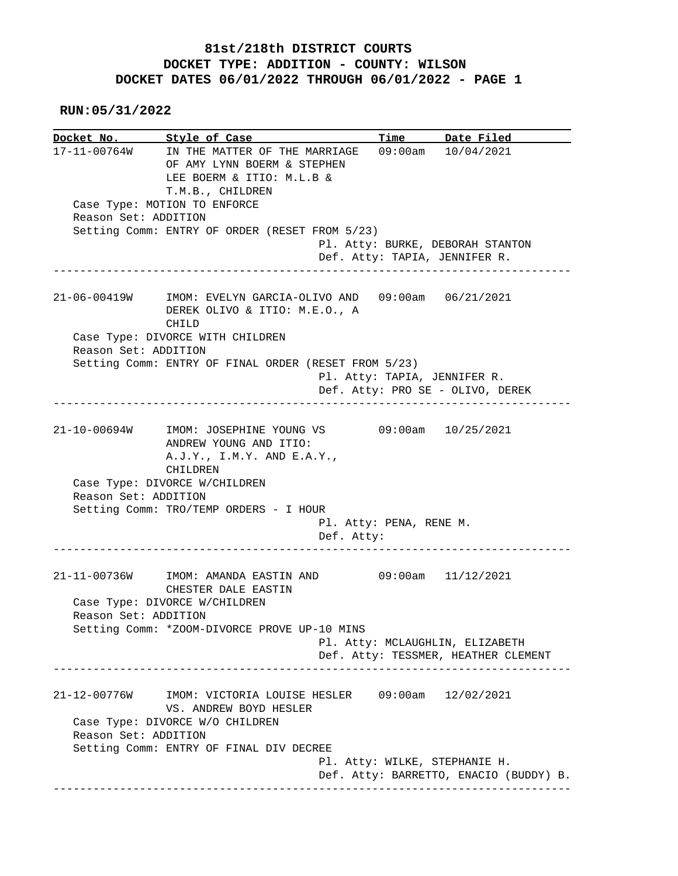## **81st/218th DISTRICT COURTS DOCKET TYPE: ADDITION - COUNTY: WILSON DOCKET DATES 06/01/2022 THROUGH 06/01/2022 - PAGE 1**

 **RUN:05/31/2022**

**Docket No. Style of Case Time Date Filed**  17-11-00764W IN THE MATTER OF THE MARRIAGE 09:00am 10/04/2021 OF AMY LYNN BOERM & STEPHEN LEE BOERM & ITIO: M.L.B & T.M.B., CHILDREN Case Type: MOTION TO ENFORCE Reason Set: ADDITION Setting Comm: ENTRY OF ORDER (RESET FROM 5/23) Pl. Atty: BURKE, DEBORAH STANTON Def. Atty: TAPIA, JENNIFER R. ------------------------------------------------------------------------------ 21-06-00419W IMOM: EVELYN GARCIA-OLIVO AND 09:00am 06/21/2021 DEREK OLIVO & ITIO: M.E.O., A CHILD Case Type: DIVORCE WITH CHILDREN Reason Set: ADDITION Setting Comm: ENTRY OF FINAL ORDER (RESET FROM 5/23) Pl. Atty: TAPIA, JENNIFER R. Def. Atty: PRO SE - OLIVO, DEREK ------------------------------------------------------------------------------ 21-10-00694W IMOM: JOSEPHINE YOUNG VS 09:00am 10/25/2021 ANDREW YOUNG AND ITIO: A.J.Y., I.M.Y. AND E.A.Y., CHILDREN Case Type: DIVORCE W/CHILDREN Reason Set: ADDITION Setting Comm: TRO/TEMP ORDERS - I HOUR Pl. Atty: PENA, RENE M. Def. Atty: ------------------------------------------------------------------------------ 21-11-00736W IMOM: AMANDA EASTIN AND 09:00am 11/12/2021 CHESTER DALE EASTIN Case Type: DIVORCE W/CHILDREN Reason Set: ADDITION Setting Comm: \*ZOOM-DIVORCE PROVE UP-10 MINS Pl. Atty: MCLAUGHLIN, ELIZABETH Def. Atty: TESSMER, HEATHER CLEMENT ------------------------------------------------------------------------------ 21-12-00776W IMOM: VICTORIA LOUISE HESLER 09:00am 12/02/2021 VS. ANDREW BOYD HESLER Case Type: DIVORCE W/O CHILDREN Reason Set: ADDITION Setting Comm: ENTRY OF FINAL DIV DECREE Pl. Atty: WILKE, STEPHANIE H. Def. Atty: BARRETTO, ENACIO (BUDDY) B. ------------------------------------------------------------------------------